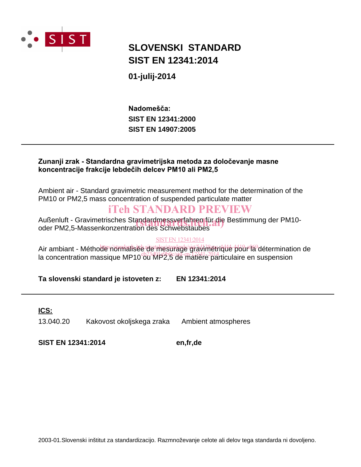

## **SIST EN 12341:2014 SLOVENSKI STANDARD**

**01-julij-2014**

**SIST EN 14907:2005 SIST EN 12341:2000** Nadomešča:

### Zunanji zrak - Standardna gravimetrijska metoda za določevanje masne koncentracije frakcije lebdečih delcev PM10 ali PM2,5

Ambient air - Standard gravimetric measurement method for the determination of the PM10 or PM2,5 mass concentration of suspended particulate matter

## iTeh STANDARD PREVIEW

Außenluft - Gravimetrisches Standardmessverfahren für die Bestimmung der PM10-<br>oder PM2 5-Massenkonzentration des Schwebstaubes oder PM2,5-Massenkonzentration des Schwebstaubes

### SIST EN 12341:2014

Air ambiant - Méthode normalisée de mesurage gravingerique pour la détermination de en ambiante motificae normalisse españa españa en gran que pour la determinata.<br>la concentration massique MP10 ou MP2,5 de matière particulaire en suspension

**Ta slovenski standard je istoveten z: EN 12341:2014**

**ICS:**

13.040.20 Kakovost okoljskega zraka Ambient atmospheres

**SIST EN 12341:2014 en,fr,de**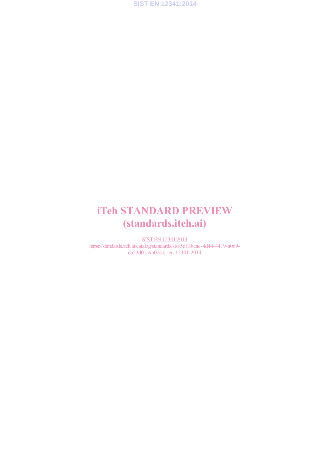

# iTeh STANDARD PREVIEW (standards.iteh.ai)

SIST EN 12341:2014 https://standards.iteh.ai/catalog/standards/sist/5d138eac-4d44-4419-a069 eb23d01a9b0c/sist-en-12341-2014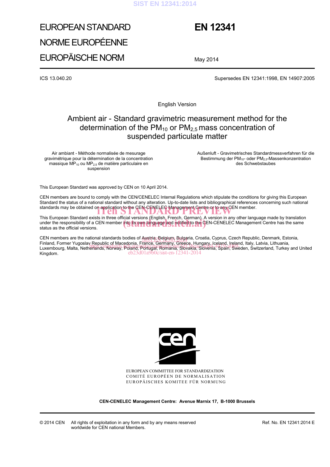#### **SIST EN 12341:2014**

# EUROPEAN STANDARD NORME EUROPÉENNE EUROPÄISCHE NORM

## **EN 12341**

May 2014

ICS 13.040.20 Supersedes EN 12341:1998, EN 14907:2005

English Version

## Ambient air - Standard gravimetric measurement method for the determination of the PM<sub>10</sub> or PM<sub>2,5</sub> mass concentration of suspended particulate matter

Air ambiant - Méthode normalisée de mesurage gravimétrique pour la détermination de la concentration massique  $MP_{10}$  ou  $MP_{2,5}$  de matière particulaire en suspension

Außenluft - Gravimetrisches Standardmessverfahren für die Bestimmung der PM<sub>10</sub>- oder PM<sub>2,5</sub>-Massenkonzentration des Schwebstaubes

This European Standard was approved by CEN on 10 April 2014.

CEN members are bound to comply with the CEN/CENELEC Internal Regulations which stipulate the conditions for giving this European Standard the status of a national standard without any alteration. Up-to-date lists and bibliographical references concerning such national standards may be obtained on application to the CEN-CENELEC Management Centre or to any CEN member.<br>This Surences Standard evidence of three official versions (Spelish, Standard Centre). A version in any other land

This European Standard exists in three official versions (English, French, German). A version in any other language made by translation This European Standard exists in three onicial versions (English, French, German). A version in any other language made by translation<br>under the responsibility of a CEN member into its own language and notified to the CENstatus as the official versions.

CEN members are the national standards bodies of Austria, Belgium, Bulgaria, Croatia, Cyprus, Czech Republic, Denmark, Estonia, <br>Fieland, Fermar Yugoslav Republic of Masodonia, Essaga, Carpony, Czecho, Hungary, Iseland, It Finland, Former Yugoslav Republic of Macedonia, France, Germany, Greece, Hungary, Iceland, Ireland, Italy, Latvia, Lithuania, r mand, r omler Tugoslav Republic of Macedonia, France, Germany, Greece, Hungary, Iceland, Ineland, Tuavia, Limuania,<br>Luxembourg, Malta, Netherlands, Norway, Poland, Portugal, Romania, Slovakia, Slovenia, Spain, Sweden, Sw Kingdom. 3d01a9b0c/sist-en-12341-20



EUROPEAN COMMITTEE FOR STANDARDIZATION COMITÉ EUROPÉEN DE NORMALISATION EUROPÄISCHES KOMITEE FÜR NORMUNG

**CEN-CENELEC Management Centre: Avenue Marnix 17, B-1000 Brussels**

Ref. No. EN 12341:2014 E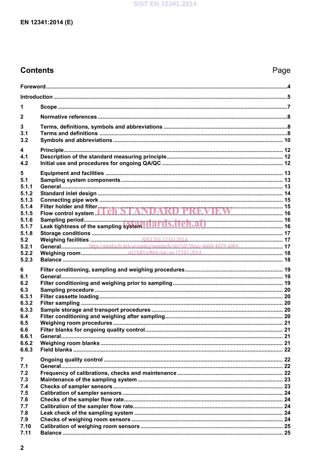## **Contents**

## Page

| 1                                                                               |                                                              |  |  |  |  |  |
|---------------------------------------------------------------------------------|--------------------------------------------------------------|--|--|--|--|--|
| $\overline{2}$                                                                  |                                                              |  |  |  |  |  |
| 3<br>3.1<br>3.2                                                                 |                                                              |  |  |  |  |  |
| $\overline{\mathbf{4}}$<br>4.1<br>4.2                                           |                                                              |  |  |  |  |  |
| 5<br>5.1<br>5.1.1<br>5.1.2<br>5.1.3<br>5.1.4<br>5.1.5                           | Filter holder and filter <b>Filter STANDARD PREVIEW</b> [16] |  |  |  |  |  |
| 5.1.6<br>5.1.7<br>5.1.8<br>5.2<br>5.2.1<br>5.2.2<br>5.2.3                       |                                                              |  |  |  |  |  |
| 6<br>6.1<br>6.2<br>6.3<br>6.3.1<br>6.3.2<br>6.3.3<br>6.4<br>6.5<br>6.6<br>6.6.1 |                                                              |  |  |  |  |  |
| 6.6.2<br>6.6.3                                                                  |                                                              |  |  |  |  |  |
| $\overline{7}$<br>7.1<br>7.2<br>7.3<br>7.4                                      |                                                              |  |  |  |  |  |
| 7.5<br>7.6<br>7.7<br>7.8<br>7.9                                                 |                                                              |  |  |  |  |  |
| 7.10<br>7.11                                                                    |                                                              |  |  |  |  |  |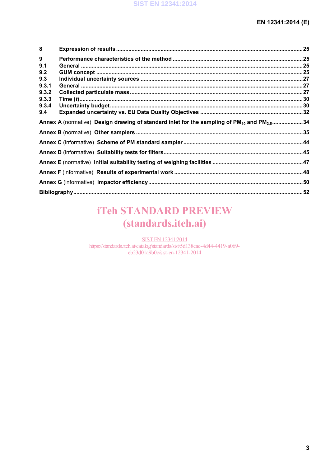| 8     |                                                                                                      |  |
|-------|------------------------------------------------------------------------------------------------------|--|
| 9     |                                                                                                      |  |
| 9.1   |                                                                                                      |  |
| 9.2   |                                                                                                      |  |
| 9.3   |                                                                                                      |  |
| 9.3.1 |                                                                                                      |  |
| 9.3.2 |                                                                                                      |  |
| 9.3.3 |                                                                                                      |  |
| 9.3.4 |                                                                                                      |  |
| 9.4   |                                                                                                      |  |
|       | Annex A (normative) Design drawing of standard inlet for the sampling of $PM_{10}$ and $PM_{2.5}$ 34 |  |
|       |                                                                                                      |  |
|       |                                                                                                      |  |
|       |                                                                                                      |  |
|       |                                                                                                      |  |
|       |                                                                                                      |  |
|       |                                                                                                      |  |
|       |                                                                                                      |  |

# **iTeh STANDARD PREVIEW** (standards.iteh.ai)

**SIST EN 12341:2014** https://standards.iteh.ai/catalog/standards/sist/5d138eac-4d44-4419-a069eb23d01a9b0c/sist-en-12341-2014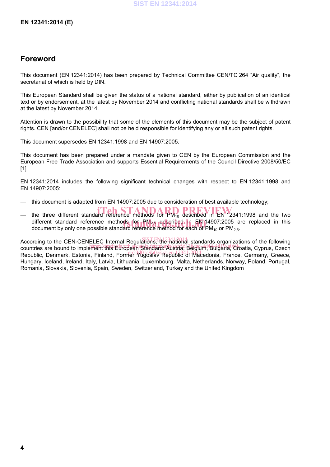## **Foreword**

This document (EN 12341:2014) has been prepared by Technical Committee CEN/TC 264 "Air quality", the secretariat of which is held by DIN.

This European Standard shall be given the status of a national standard, either by publication of an identical text or by endorsement, at the latest by November 2014 and conflicting national standards shall be withdrawn at the latest by November 2014.

Attention is drawn to the possibility that some of the elements of this document may be the subject of patent rights. CEN [and/or CENELEC] shall not be held responsible for identifying any or all such patent rights.

This document supersedes EN 12341:1998 and EN 14907:2005.

This document has been prepared under a mandate given to CEN by the European Commission and the European Free Trade Association and supports Essential Requirements of the Council Directive 2008/50/EC [1].

EN 12341:2014 includes the following significant technical changes with respect to EN 12341:1998 and EN 14907:2005:

- this document is adapted from EN 14907:2005 due to consideration of best available technology;
- the three different standard reference methods for PM<sub>10</sub> described in EN 12341:1998 and the two different standard reference methods for  $PM_{2,5}$  described in EN 14907:2005 are replaced in this document by only one possible standard reference method for each of PM<sub>48</sub> or PM<sub>25</sub>. document by only one possible standard reference method for each of  $PM_{10}$  or  $PM_{2.5}$ .

According to the CEN-CENELEC Internal Regulations, the national standards organizations of the following countries are bound to implement this European Standard: Austria, Belgium, Bulgaria, Croatia, Cyprus, Czech Republic, Denmark, Estonia, Finland, Former Yugoslav Republic of Macedonia, France, Germany, Greece, Hungary, Iceland, Ireland, Italy, Latvia, Lithuania, Luxembourg, Malta, Netherlands, Norway, Poland, Portugal, Romania, Slovakia, Slovenia, Spain, Sweden, Switzerland, Turkey and the United Kingdom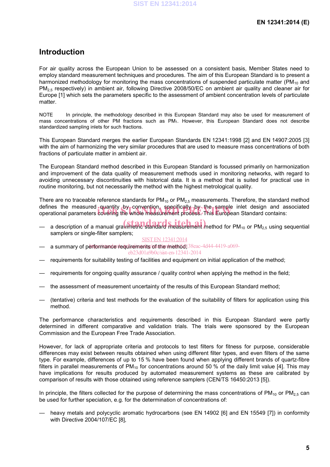## **Introduction**

For air quality across the European Union to be assessed on a consistent basis, Member States need to employ standard measurement techniques and procedures. The aim of this European Standard is to present a harmonized methodology for monitoring the mass concentrations of suspended particulate matter (PM<sub>10</sub> and PM2,5 respectively) in ambient air, following Directive 2008/50/EC on ambient air quality and cleaner air for Europe [1] which sets the parameters specific to the assessment of ambient concentration levels of particulate matter.

NOTE In principle, the methodology described in this European Standard may also be used for measurement of mass concentrations of other PM fractions such as PM<sub>1</sub>. However, this European Standard does not describe standardized sampling inlets for such fractions.

This European Standard merges the earlier European Standards EN 12341:1998 [2] and EN 14907:2005 [3] with the aim of harmonizing the very similar procedures that are used to measure mass concentrations of both fractions of particulate matter in ambient air.

The European Standard method described in this European Standard is focussed primarily on harmonization and improvement of the data quality of measurement methods used in monitoring networks, with regard to avoiding unnecessary discontinuities with historical data. It is a method that is suited for practical use in routine monitoring, but not necessarily the method with the highest metrological quality.

There are no traceable reference standards for  $PM_{10}$  or  $PM_{2.5}$  measurements. Therefore, the standard method defines the measured quantity by convention, specifically by the sample inlet design and associated defines the measured quantity by convention, specifically by the sample inlet design and a<br>operational parameters covering the whole measurement process. This European Standard contains:

 $-$  a description of a manual gravimetric standard measurement method for PM<sub>10</sub> or PM<sub>2,5</sub> using sequential samplers or single-filter samplers;

#### SIST EN 12341:2014

- a summary of performance requirements of the method; 38eac-4d44-4419-a069-

#### eb23d01a9b0c/sist-en-12341-2014

- requirements for suitability testing of facilities and equipment on initial application of the method;
- requirements for ongoing quality assurance / quality control when applying the method in the field;
- the assessment of measurement uncertainty of the results of this European Standard method;
- (tentative) criteria and test methods for the evaluation of the suitability of filters for application using this method.

The performance characteristics and requirements described in this European Standard were partly determined in different comparative and validation trials. The trials were sponsored by the European Commission and the European Free Trade Association.

However, for lack of appropriate criteria and protocols to test filters for fitness for purpose, considerable differences may exist between results obtained when using different filter types, and even filters of the same type. For example, differences of up to 15 % have been found when applying different brands of quartz-fibre filters in parallel measurements of  $PM_{10}$  for concentrations around 50 % of the daily limit value [4]. This may have implications for results produced by automated measurement systems as these are calibrated by comparison of results with those obtained using reference samplers (CEN/TS 16450:2013 [5]).

In principle, the filters collected for the purpose of determining the mass concentrations of  $PM_{10}$  or  $PM_{2.5}$  can be used for further speciation, e.g. for the determination of concentrations of:

— heavy metals and polycyclic aromatic hydrocarbons (see EN 14902 [6] and EN 15549 [7]) in conformity with Directive 2004/107/EC [8],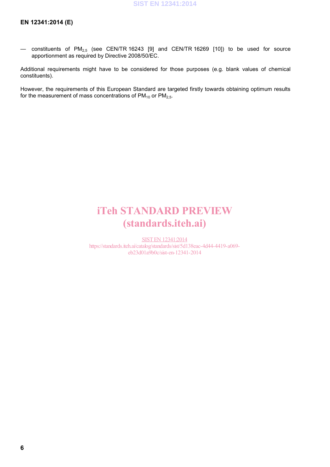constituents of  $PM_{2.5}$  (see CEN/TR 16243 [9] and CEN/TR 16269 [10]) to be used for source apportionment as required by Directive 2008/50/EC.

Additional requirements might have to be considered for those purposes (e.g. blank values of chemical constituents).

However, the requirements of this European Standard are targeted firstly towards obtaining optimum results for the measurement of mass concentrations of  $PM_{10}$  or  $PM_{2.5}$ .

# iTeh STANDARD PREVIEW (standards.iteh.ai)

SIST EN 12341:2014 https://standards.iteh.ai/catalog/standards/sist/5d138eac-4d44-4419-a069 eb23d01a9b0c/sist-en-12341-2014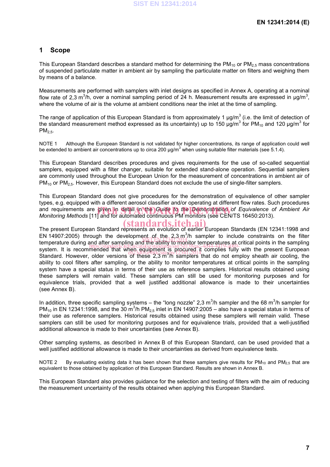#### **1 Scope**

This European Standard describes a standard method for determining the  $PM_{10}$  or  $PM_{2.5}$  mass concentrations of suspended particulate matter in ambient air by sampling the particulate matter on filters and weighing them by means of a balance.

Measurements are performed with samplers with inlet designs as specified in Annex A, operating at a nominal flow rate of 2,3 m<sup>3</sup>/h, over a nominal sampling period of 24 h. Measurement results are expressed in  $\mu$ g/m<sup>3</sup>, where the volume of air is the volume at ambient conditions near the inlet at the time of sampling.

The range of application of this European Standard is from approximately 1  $\mu$ g/m<sup>3</sup> (i.e. the limit of detection of the standard measurement method expressed as its uncertainty) up to 150  $\mu$ g/m<sup>3</sup> for PM<sub>10</sub> and 120  $\mu$ g/m<sup>3</sup> for  $PM<sub>2.5</sub>$ .

NOTE 1 Although the European Standard is not validated for higher concentrations, its range of application could well be extended to ambient air concentrations up to circa 200  $\mu q/m^3$  when using suitable filter materials (see 5.1.4).

This European Standard describes procedures and gives requirements for the use of so-called sequential samplers, equipped with a filter changer, suitable for extended stand-alone operation. Sequential samplers are commonly used throughout the European Union for the measurement of concentrations in ambient air of  $PM_{10}$  or PM<sub>2.5</sub>. However, this European Standard does not exclude the use of single-filter samplers.

This European Standard does not give procedures for the demonstration of equivalence of other sampler types, e.g. equipped with a different aerosol classifier and/or operating at different flow rates. Such procedures and requirements are given in detail in the *Guide* to the Demonstration of Equivalence of Ambient Air and for air and for a information of the *Demonstration* of Equivalence of Ambient Air *Monitoring Methods* [11] and for automated continuous PM monitors (see CEN/TS 16450:2013).

#### (standards.iteh.ai)

The present European Standard represents an evolution of earlier European Standards (EN 12341:1998 and EN 14907:2005) through the development of the  $2.3 \text{ m}^3$ /h sampler to include constraints on the filter Environmenture during and after sampling and the ability to monitor temperatures at critical points in the sampling temperature during and giten sampling and the ability to monitor temperatures at critical points in the sampling<br>system. It is recommended that when equipment is procured it complies fully with the present European System. It is recommended that when all these is procentified to miplies fully with the present European<br>Standard. However, older versions of these 2,3 m<sup>3</sup>/h samplers that do not employ sheath air cooling, the ability to cool filters after sampling, or the ability to monitor temperatures at critical points in the sampling system have a special status in terms of their use as reference samplers. Historical results obtained using these samplers will remain valid. These samplers can still be used for monitoring purposes and for equivalence trials, provided that a well justified additional allowance is made to their uncertainties (see Annex B).

In addition, three specific sampling systems – the "long nozzle" 2,3 m<sup>3</sup>/h sampler and the 68 m<sup>3</sup>/h sampler for PM<sub>10</sub> in EN 12341:1998, and the 30 m<sup>3</sup>/h PM<sub>2,5</sub> inlet in EN 14907:2005 – also have a special status in terms of their use as reference samplers. Historical results obtained using these samplers will remain valid. These samplers can still be used for monitoring purposes and for equivalence trials, provided that a well-justified additional allowance is made to their uncertainties (see Annex B).

Other sampling systems, as described in Annex B of this European Standard, can be used provided that a well justified additional allowance is made to their uncertainties as derived from equivalence tests.

NOTE 2 By evaluating existing data it has been shown that these samplers give results for  $PM_{10}$  and  $PM_{2.5}$  that are equivalent to those obtained by application of this European Standard. Results are shown in Annex B.

This European Standard also provides guidance for the selection and testing of filters with the aim of reducing the measurement uncertainty of the results obtained when applying this European Standard.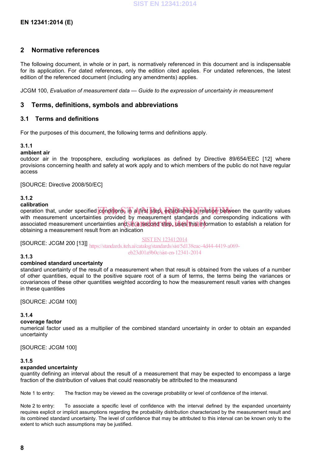### **2 Normative references**

The following document, in whole or in part, is normatively referenced in this document and is indispensable for its application. For dated references, only the edition cited applies. For undated references, the latest edition of the referenced document (including any amendments) applies.

JCGM 100, *Evaluation of measurement data — Guide to the expression of uncertainty in measurement*

#### **3 Terms, definitions, symbols and abbreviations**

#### **3.1 Terms and definitions**

For the purposes of this document, the following terms and definitions apply.

#### **3.1.1**

#### **ambient air**

outdoor air in the troposphere, excluding workplaces as defined by Directive 89/654/EEC [12] where provisions concerning health and safety at work apply and to which members of the public do not have regular access

[SOURCE: Directive 2008/50/EC]

#### **3.1.2**

#### **calibration**

canbration<br>operation that, under specified conditions, in a first step, establishes a relation between the quantity values<br>with measurement uncertainties, provided by measurement atopdards, and corresponding indications wi with measurement uncertainties provided by measurement standards and corresponding indications with with measurement uncertainties provided by measurement standards and corresponding indications with<br>associated measurement uncertainties and sin a second step, uses this information to establish a relation for obtaining a measurement result from an indication

[SOURCE: JCGM 200 [13]] https://standards.iteh.ai/catalog/standards/sist/5d138eac-4d44-4419-a069-SIST EN 12341:2014 eb23d01a9b0c/sist-en-12341-2014

#### **3.1.3**

#### **combined standard uncertainty**

standard uncertainty of the result of a measurement when that result is obtained from the values of a number of other quantities, equal to the positive square root of a sum of terms, the terms being the variances or covariances of these other quantities weighted according to how the measurement result varies with changes in these quantities

[SOURCE: JCGM 100]

#### **3.1.4**

#### **coverage factor**

numerical factor used as a multiplier of the combined standard uncertainty in order to obtain an expanded uncertainty

[SOURCE: JCGM 100]

#### **3.1.5**

#### **expanded uncertainty**

quantity defining an interval about the result of a measurement that may be expected to encompass a large fraction of the distribution of values that could reasonably be attributed to the measurand

Note 1 to entry: The fraction may be viewed as the coverage probability or level of confidence of the interval.

Note 2 to entry: To associate a specific level of confidence with the interval defined by the expanded uncertainty requires explicit or implicit assumptions regarding the probability distribution characterized by the measurement result and its combined standard uncertainty. The level of confidence that may be attributed to this interval can be known only to the extent to which such assumptions may be justified.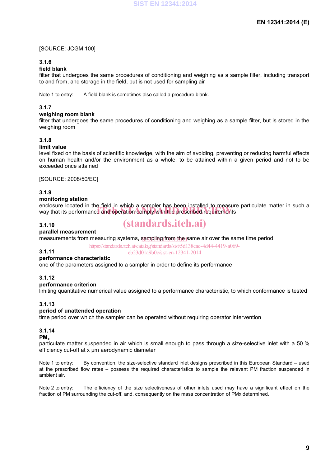#### [SOURCE: JCGM 100]

## **3.1.6**

### **field blank**

filter that undergoes the same procedures of conditioning and weighing as a sample filter, including transport to and from, and storage in the field, but is not used for sampling air

Note 1 to entry: A field blank is sometimes also called a procedure blank.

#### **3.1.7**

#### **weighing room blank**

filter that undergoes the same procedures of conditioning and weighing as a sample filter, but is stored in the weighing room

#### **3.1.8**

#### **limit value**

level fixed on the basis of scientific knowledge, with the aim of avoiding, preventing or reducing harmful effects on human health and/or the environment as a whole, to be attained within a given period and not to be exceeded once attained

[SOURCE: 2008/50/EC]

#### **3.1.9**

#### **monitoring station**

enclosure located in the field in which a sampler has been installed to measure particulate matter in such a enclosure located in the lield in which a sampler has been installed to measure<br>way that its performance and operation comply with the prescribed requirements

#### **3.1.10**

## (standards.iteh.ai)

measurements from measuring systems, s<u>ampling from the s</u>ame air over the same time period

https://standards.iteh.ai/catalog/standards/sist/5d138eac-4d44-4419-a069-

eb23d01a9b0c/sist-en-12341-2014

#### **3.1.11 performance characteristic**

**parallel measurement**

one of the parameters assigned to a sampler in order to define its performance

#### **3.1.12**

#### **performance criterion**

limiting quantitative numerical value assigned to a performance characteristic, to which conformance is tested

#### **3.1.13**

#### **period of unattended operation**

time period over which the sampler can be operated without requiring operator intervention

#### **3.1.14**

#### **PMx**

particulate matter suspended in air which is small enough to pass through a size-selective inlet with a 50 % efficiency cut-off at x µm aerodynamic diameter

Note 1 to entry: By convention, the size-selective standard inlet designs prescribed in this European Standard – used at the prescribed flow rates – possess the required characteristics to sample the relevant PM fraction suspended in ambient air.

Note 2 to entry: The efficiency of the size selectiveness of other inlets used may have a significant effect on the fraction of PM surrounding the cut-off, and, consequently on the mass concentration of PMx determined.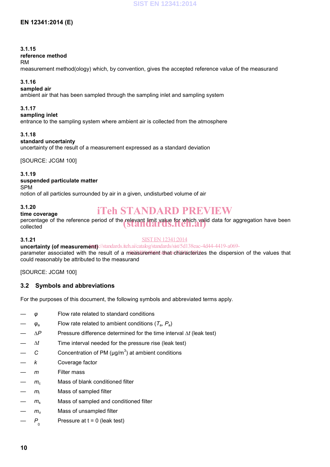### **EN 12341:2014 (E)**

#### **3.1.15**

#### **reference method**

#### RM

measurement method(ology) which, by convention, gives the accepted reference value of the measurand

#### **3.1.16**

#### **sampled air**

ambient air that has been sampled through the sampling inlet and sampling system

#### **3.1.17**

**sampling inlet**

entrance to the sampling system where ambient air is collected from the atmosphere

#### **3.1.18**

#### **standard uncertainty**

uncertainty of the result of a measurement expressed as a standard deviation

[SOURCE: JCGM 100]

#### **3.1.19**

#### **suspended particulate matter**

SPM

notion of all particles surrounded by air in a given, undisturbed volume of air

#### **3.1.20**

## **time coverage**

## iTeh STANDARD PREVIEW

percentage of the reference period of the relevant limit value for which valid data for aggregation have been collected collected

#### **3.1.21**

SIST EN 12341;2014

**uncertainty (of measurementy:**//standards.iteh.ai/catalog/standards/sist/5d138eac-4d44-4419-a069-

parameter associated with the result of a measurement that characterizes the dispersion of the values that could reasonably be attributed to the measurand

[SOURCE: JCGM 100]

#### **3.2 Symbols and abbreviations**

For the purposes of this document, the following symbols and abbreviated terms apply.

- *— φ* Flow rate related to standard conditions
- $\varphi$ <sub>a</sub> Flow rate related to ambient conditions ( $T_a$ ,  $P_a$ )
- ∆*P* Pressure difference determined for the time interval ∆*t* (leak test)
- ∆*t* Time interval needed for the pressure rise (leak test)
- C Concentration of PM (μg/m<sup>3</sup>) at ambient conditions
- *k* Coverage factor
- *m* Filter mass
- *m*<sup>c</sup> Mass of blank conditioned filter
- $m<sub>l</sub>$  Mass of sampled filter
- $m<sub>s</sub>$  Mass of sampled and conditioned filter
- m<sub>u</sub> Mass of unsampled filter
- *P*  $\Omega$ Pressure at  $t = 0$  (leak test)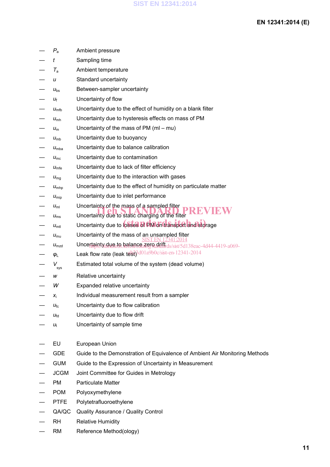|                          | $P_{\rm a}$                | Ambient pressure                                                                  |
|--------------------------|----------------------------|-----------------------------------------------------------------------------------|
|                          | t                          | Sampling time                                                                     |
|                          | $T_{\rm a}$                | Ambient temperature                                                               |
| $\overline{\phantom{0}}$ | u                          | Standard uncertainty                                                              |
| $\overline{\phantom{0}}$ | $U_{\rm bs}$               | Between-sampler uncertainty                                                       |
| $\overline{\phantom{0}}$ | Uf                         | Uncertainty of flow                                                               |
| —<br>—                   | $U_{\text{mfb}}$           | Uncertainty due to the effect of humidity on a blank filter                       |
| —<br>—                   | $u_{\rm mb}$               | Uncertainty due to hysteresis effects on mass of PM                               |
| $\overline{\phantom{0}}$ | $u_{m}$                    | Uncertainty of the mass of $PM$ (ml $-$ mu)                                       |
|                          | $U_{\text{mb}}$            | Uncertainty due to buoyancy                                                       |
|                          | $U_{\rm mba}$              | Uncertainty due to balance calibration                                            |
|                          | $U_{\text{mc}}$            | Uncertainty due to contamination                                                  |
| $\overline{\phantom{0}}$ | $U_{\text{mfe}}$           | Uncertainty due to lack of filter efficiency                                      |
| —<br>—                   | $u_{mg}$                   | Uncertainty due to the interaction with gases                                     |
| $\overline{\phantom{0}}$ | $U_{\text{mhp}}$           | Uncertainty due to the effect of humidity on particulate matter                   |
| —<br>—                   | $u_{\rm{mip}}$             | Uncertainty due to inlet performance                                              |
| $\overline{\phantom{0}}$ | $U_{\text{ml}}$            | Uncertainty of the mass of a sampled filter                                       |
| $\overline{\phantom{0}}$ | $U_{\rm ms}$               | Uncertainty due to static charging of the filter                                  |
| —<br>—                   | $U_{\text{mtl}}$           | Uncertainty due to losses of PM on transport and storage                          |
| $\overline{\phantom{0}}$ | $U_{\text{mu}}$            | Uncertainty of the mass of an unsampled filter                                    |
| Ξ                        | $u_{\text{mzd}}$           | Uncertainty due to balance zero drift.<br>1138eac-4d44-4419-a069-                 |
|                          | $\varphi_{\text{\tiny L}}$ | Leak flow rate (leak $t \in \mathbb{R}^3$ <sup>3d01a9b0c/sist-en-12341-2014</sup> |
|                          | v<br>sys                   | Estimated total volume of the system (dead volume)                                |
|                          | w                          | Relative uncertainty                                                              |
|                          | W                          | Expanded relative uncertainty                                                     |
|                          | $X_i$                      | Individual measurement result from a sampler                                      |
|                          | $U_{\rm fc}$               | Uncertainty due to flow calibration                                               |
|                          | $U_{\text{fd}}$            | Uncertainty due to flow drift                                                     |
|                          | $U_{t}$                    | Uncertainty of sample time                                                        |
|                          |                            |                                                                                   |
|                          | EU                         | European Union                                                                    |
|                          | <b>GDE</b>                 | Guide to the Demonstration of Equivalence of Ambient Air Monitoring Methods       |
|                          | <b>GUM</b>                 | Guide to the Expression of Uncertainty in Measurement                             |
|                          | <b>JCGM</b>                | Joint Committee for Guides in Metrology                                           |
|                          | <b>PM</b>                  | <b>Particulate Matter</b>                                                         |
|                          | <b>POM</b>                 | Polyoxymethylene                                                                  |
|                          | <b>PTFE</b>                | Polytetrafluoroethylene                                                           |
|                          | QA/QC                      | Quality Assurance / Quality Control                                               |
|                          | <b>RH</b>                  | <b>Relative Humidity</b>                                                          |
|                          | <b>RM</b>                  | Reference Method(ology)                                                           |
|                          |                            |                                                                                   |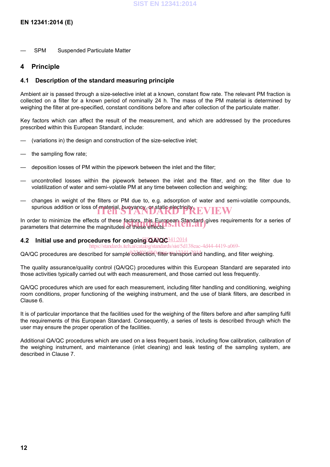SPM Suspended Particulate Matter

#### **4 Principle**

#### **4.1 Description of the standard measuring principle**

Ambient air is passed through a size-selective inlet at a known, constant flow rate. The relevant PM fraction is collected on a filter for a known period of nominally 24 h. The mass of the PM material is determined by weighing the filter at pre-specified, constant conditions before and after collection of the particulate matter.

Key factors which can affect the result of the measurement, and which are addressed by the procedures prescribed within this European Standard, include:

- (variations in) the design and construction of the size-selective inlet;
- the sampling flow rate;
- deposition losses of PM within the pipework between the inlet and the filter;
- uncontrolled losses within the pipework between the inlet and the filter, and on the filter due to volatilization of water and semi-volatile PM at any time between collection and weighing;
- changes in weight of the filters or PM due to, e.g. adsorption of water and semi-volatile compounds, spurious addition or loss of material, buoyancy, or static electricity.  ${\color{red}EWEW}$

In order to minimize the effects of these factors, this European Standard gives requirements for a series of<br>parameters that determine the magnitudes of these effects. parameters that determine the magnitudes of these effects.

### 4.2 Initial use and procedures for ongoing QA/QC341:2014

https://standards.iteh.ai/catalog/standards/sist/5d138eac-4d44-4419-a069-

QA/QC procedures are described for sample collection, filter transport and handling, and filter weighing.

The quality assurance/quality control (QA/QC) procedures within this European Standard are separated into those activities typically carried out with each measurement, and those carried out less frequently.

QA/QC procedures which are used for each measurement, including filter handling and conditioning, weighing room conditions, proper functioning of the weighing instrument, and the use of blank filters, are described in Clause 6.

It is of particular importance that the facilities used for the weighing of the filters before and after sampling fulfil the requirements of this European Standard. Consequently, a series of tests is described through which the user may ensure the proper operation of the facilities.

Additional QA/QC procedures which are used on a less frequent basis, including flow calibration, calibration of the weighing instrument, and maintenance (inlet cleaning) and leak testing of the sampling system, are described in Clause 7.